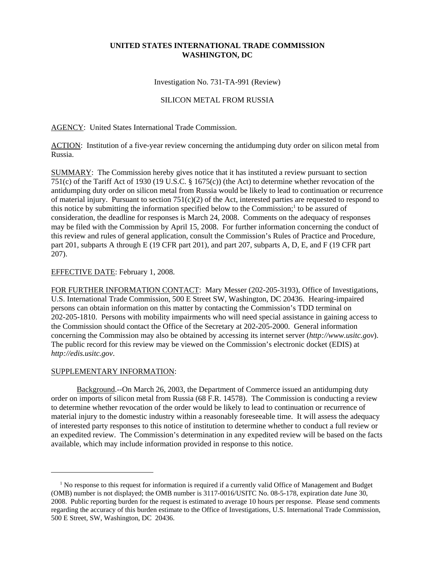## **UNITED STATES INTERNATIONAL TRADE COMMISSION WASHINGTON, DC**

Investigation No. 731-TA-991 (Review)

## SILICON METAL FROM RUSSIA

AGENCY: United States International Trade Commission.

ACTION: Institution of a five-year review concerning the antidumping duty order on silicon metal from Russia.

SUMMARY: The Commission hereby gives notice that it has instituted a review pursuant to section 751(c) of the Tariff Act of 1930 (19 U.S.C. § 1675(c)) (the Act) to determine whether revocation of the antidumping duty order on silicon metal from Russia would be likely to lead to continuation or recurrence of material injury. Pursuant to section  $751(c)(2)$  of the Act, interested parties are requested to respond to this notice by submitting the information specified below to the Commission;<sup>1</sup> to be assured of consideration, the deadline for responses is March 24, 2008. Comments on the adequacy of responses may be filed with the Commission by April 15, 2008. For further information concerning the conduct of this review and rules of general application, consult the Commission's Rules of Practice and Procedure, part 201, subparts A through E (19 CFR part 201), and part 207, subparts A, D, E, and F (19 CFR part 207).

## EFFECTIVE DATE: February 1, 2008.

FOR FURTHER INFORMATION CONTACT: Mary Messer (202-205-3193), Office of Investigations, U.S. International Trade Commission, 500 E Street SW, Washington, DC 20436. Hearing-impaired persons can obtain information on this matter by contacting the Commission's TDD terminal on 202-205-1810. Persons with mobility impairments who will need special assistance in gaining access to the Commission should contact the Office of the Secretary at 202-205-2000. General information concerning the Commission may also be obtained by accessing its internet server (*http://www.usitc.gov*). The public record for this review may be viewed on the Commission's electronic docket (EDIS) at *http://edis.usitc.gov*.

## SUPPLEMENTARY INFORMATION:

Background.--On March 26, 2003, the Department of Commerce issued an antidumping duty order on imports of silicon metal from Russia (68 F.R. 14578). The Commission is conducting a review to determine whether revocation of the order would be likely to lead to continuation or recurrence of material injury to the domestic industry within a reasonably foreseeable time. It will assess the adequacy of interested party responses to this notice of institution to determine whether to conduct a full review or an expedited review. The Commission's determination in any expedited review will be based on the facts available, which may include information provided in response to this notice.

<sup>&</sup>lt;sup>1</sup> No response to this request for information is required if a currently valid Office of Management and Budget (OMB) number is not displayed; the OMB number is 3117-0016/USITC No. 08-5-178, expiration date June 30, 2008. Public reporting burden for the request is estimated to average 10 hours per response. Please send comments regarding the accuracy of this burden estimate to the Office of Investigations, U.S. International Trade Commission, 500 E Street, SW, Washington, DC 20436.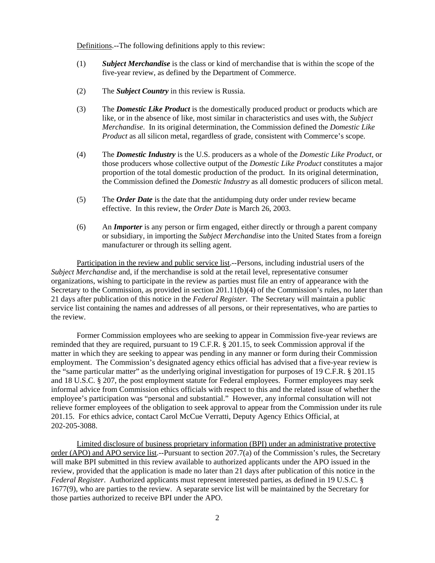Definitions.--The following definitions apply to this review:

- (1) *Subject Merchandise* is the class or kind of merchandise that is within the scope of the five-year review, as defined by the Department of Commerce.
- (2) The *Subject Country* in this review is Russia.
- (3) The *Domestic Like Product* is the domestically produced product or products which are like, or in the absence of like, most similar in characteristics and uses with, the *Subject Merchandise*. In its original determination, the Commission defined the *Domestic Like Product* as all silicon metal, regardless of grade, consistent with Commerce's scope.
- (4) The *Domestic Industry* is the U.S. producers as a whole of the *Domestic Like Product*, or those producers whose collective output of the *Domestic Like Product* constitutes a major proportion of the total domestic production of the product. In its original determination, the Commission defined the *Domestic Industry* as all domestic producers of silicon metal.
- (5) The *Order Date* is the date that the antidumping duty order under review became effective. In this review, the *Order Date* is March 26, 2003.
- (6) An *Importer* is any person or firm engaged, either directly or through a parent company or subsidiary, in importing the *Subject Merchandise* into the United States from a foreign manufacturer or through its selling agent.

Participation in the review and public service list.--Persons, including industrial users of the *Subject Merchandise* and, if the merchandise is sold at the retail level, representative consumer organizations, wishing to participate in the review as parties must file an entry of appearance with the Secretary to the Commission, as provided in section 201.11(b)(4) of the Commission's rules, no later than 21 days after publication of this notice in the *Federal Register*. The Secretary will maintain a public service list containing the names and addresses of all persons, or their representatives, who are parties to the review.

Former Commission employees who are seeking to appear in Commission five-year reviews are reminded that they are required, pursuant to 19 C.F.R. § 201.15, to seek Commission approval if the matter in which they are seeking to appear was pending in any manner or form during their Commission employment. The Commission's designated agency ethics official has advised that a five-year review is the "same particular matter" as the underlying original investigation for purposes of 19 C.F.R. § 201.15 and 18 U.S.C. § 207, the post employment statute for Federal employees. Former employees may seek informal advice from Commission ethics officials with respect to this and the related issue of whether the employee's participation was "personal and substantial." However, any informal consultation will not relieve former employees of the obligation to seek approval to appear from the Commission under its rule 201.15. For ethics advice, contact Carol McCue Verratti, Deputy Agency Ethics Official, at 202-205-3088.

Limited disclosure of business proprietary information (BPI) under an administrative protective order (APO) and APO service list.--Pursuant to section 207.7(a) of the Commission's rules, the Secretary will make BPI submitted in this review available to authorized applicants under the APO issued in the review, provided that the application is made no later than 21 days after publication of this notice in the *Federal Register*. Authorized applicants must represent interested parties, as defined in 19 U.S.C. § 1677(9), who are parties to the review. A separate service list will be maintained by the Secretary for those parties authorized to receive BPI under the APO.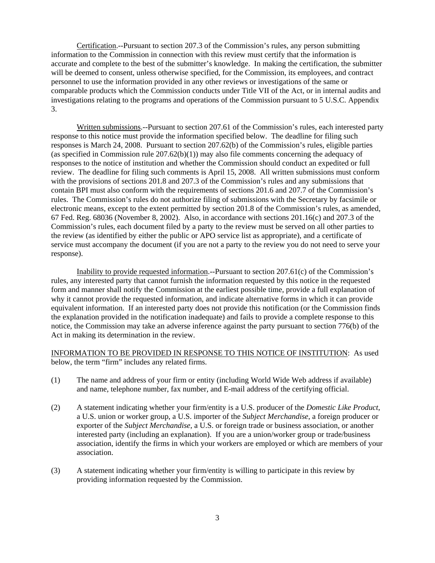Certification.--Pursuant to section 207.3 of the Commission's rules, any person submitting information to the Commission in connection with this review must certify that the information is accurate and complete to the best of the submitter's knowledge. In making the certification, the submitter will be deemed to consent, unless otherwise specified, for the Commission, its employees, and contract personnel to use the information provided in any other reviews or investigations of the same or comparable products which the Commission conducts under Title VII of the Act, or in internal audits and investigations relating to the programs and operations of the Commission pursuant to 5 U.S.C. Appendix 3.

Written submissions.--Pursuant to section 207.61 of the Commission's rules, each interested party response to this notice must provide the information specified below. The deadline for filing such responses is March 24, 2008. Pursuant to section 207.62(b) of the Commission's rules, eligible parties (as specified in Commission rule  $207.62(b)(1)$ ) may also file comments concerning the adequacy of responses to the notice of institution and whether the Commission should conduct an expedited or full review. The deadline for filing such comments is April 15, 2008. All written submissions must conform with the provisions of sections 201.8 and 207.3 of the Commission's rules and any submissions that contain BPI must also conform with the requirements of sections 201.6 and 207.7 of the Commission's rules. The Commission's rules do not authorize filing of submissions with the Secretary by facsimile or electronic means, except to the extent permitted by section 201.8 of the Commission's rules, as amended, 67 Fed. Reg. 68036 (November 8, 2002). Also, in accordance with sections 201.16(c) and 207.3 of the Commission's rules, each document filed by a party to the review must be served on all other parties to the review (as identified by either the public or APO service list as appropriate), and a certificate of service must accompany the document (if you are not a party to the review you do not need to serve your response).

Inability to provide requested information.--Pursuant to section 207.61(c) of the Commission's rules, any interested party that cannot furnish the information requested by this notice in the requested form and manner shall notify the Commission at the earliest possible time, provide a full explanation of why it cannot provide the requested information, and indicate alternative forms in which it can provide equivalent information. If an interested party does not provide this notification (or the Commission finds the explanation provided in the notification inadequate) and fails to provide a complete response to this notice, the Commission may take an adverse inference against the party pursuant to section 776(b) of the Act in making its determination in the review.

INFORMATION TO BE PROVIDED IN RESPONSE TO THIS NOTICE OF INSTITUTION: As used below, the term "firm" includes any related firms.

- (1) The name and address of your firm or entity (including World Wide Web address if available) and name, telephone number, fax number, and E-mail address of the certifying official.
- (2) A statement indicating whether your firm/entity is a U.S. producer of the *Domestic Like Product*, a U.S. union or worker group, a U.S. importer of the *Subject Merchandise*, a foreign producer or exporter of the *Subject Merchandise*, a U.S. or foreign trade or business association, or another interested party (including an explanation). If you are a union/worker group or trade/business association, identify the firms in which your workers are employed or which are members of your association.
- (3) A statement indicating whether your firm/entity is willing to participate in this review by providing information requested by the Commission.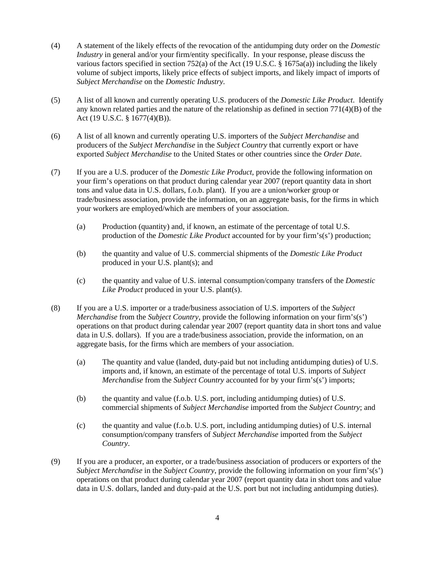- (4) A statement of the likely effects of the revocation of the antidumping duty order on the *Domestic Industry* in general and/or your firm/entity specifically. In your response, please discuss the various factors specified in section 752(a) of the Act (19 U.S.C. §  $1675a(a)$ ) including the likely volume of subject imports, likely price effects of subject imports, and likely impact of imports of *Subject Merchandise* on the *Domestic Industry*.
- (5) A list of all known and currently operating U.S. producers of the *Domestic Like Product*. Identify any known related parties and the nature of the relationship as defined in section  $771(4)(B)$  of the Act (19 U.S.C. § 1677(4)(B)).
- (6) A list of all known and currently operating U.S. importers of the *Subject Merchandise* and producers of the *Subject Merchandise* in the *Subject Country* that currently export or have exported *Subject Merchandise* to the United States or other countries since the *Order Date*.
- (7) If you are a U.S. producer of the *Domestic Like Product*, provide the following information on your firm's operations on that product during calendar year 2007 (report quantity data in short tons and value data in U.S. dollars, f.o.b. plant). If you are a union/worker group or trade/business association, provide the information, on an aggregate basis, for the firms in which your workers are employed/which are members of your association.
	- (a) Production (quantity) and, if known, an estimate of the percentage of total U.S. production of the *Domestic Like Product* accounted for by your firm's(s') production;
	- (b) the quantity and value of U.S. commercial shipments of the *Domestic Like Product* produced in your U.S. plant(s); and
	- (c) the quantity and value of U.S. internal consumption/company transfers of the *Domestic Like Product* produced in your U.S. plant(s).
- (8) If you are a U.S. importer or a trade/business association of U.S. importers of the *Subject Merchandise* from the *Subject Country*, provide the following information on your firm's(s') operations on that product during calendar year 2007 (report quantity data in short tons and value data in U.S. dollars). If you are a trade/business association, provide the information, on an aggregate basis, for the firms which are members of your association.
	- (a) The quantity and value (landed, duty-paid but not including antidumping duties) of U.S. imports and, if known, an estimate of the percentage of total U.S. imports of *Subject Merchandise* from the *Subject Country* accounted for by your firm's(s') imports;
	- (b) the quantity and value (f.o.b. U.S. port, including antidumping duties) of U.S. commercial shipments of *Subject Merchandise* imported from the *Subject Country*; and
	- (c) the quantity and value (f.o.b. U.S. port, including antidumping duties) of U.S. internal consumption/company transfers of *Subject Merchandise* imported from the *Subject Country*.
- (9) If you are a producer, an exporter, or a trade/business association of producers or exporters of the *Subject Merchandise* in the *Subject Country*, provide the following information on your firm's(s') operations on that product during calendar year 2007 (report quantity data in short tons and value data in U.S. dollars, landed and duty-paid at the U.S. port but not including antidumping duties).